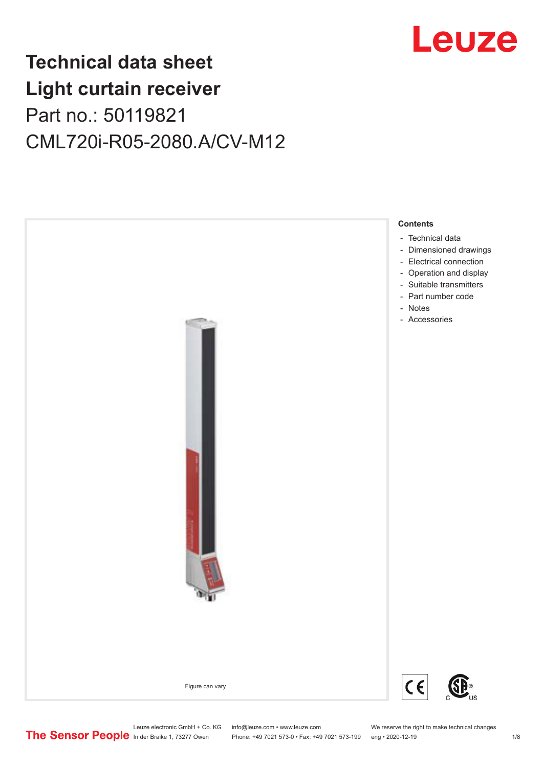

## **Technical data sheet Light curtain receiver** Part no.: 50119821 CML720i-R05-2080.A/CV-M12



Leuze electronic GmbH + Co. KG info@leuze.com • www.leuze.com We reserve the right to make technical changes<br>
The Sensor People in der Braike 1, 73277 Owen Phone: +49 7021 573-0 • Fax: +49 7021 573-199 eng • 2020-12-19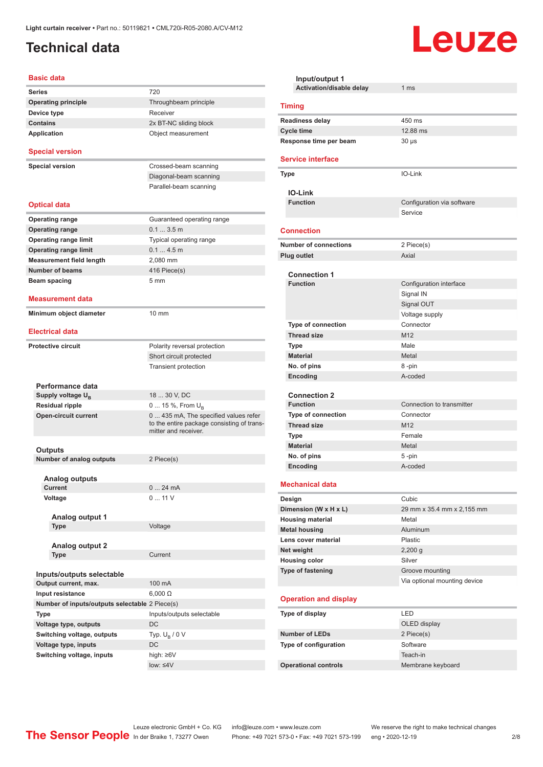## <span id="page-1-0"></span>**Technical data**

#### **Basic data**

| Series                                         | 720                                                                                                        |
|------------------------------------------------|------------------------------------------------------------------------------------------------------------|
| <b>Operating principle</b>                     | Throughbeam principle                                                                                      |
| Device type                                    | Receiver                                                                                                   |
| <b>Contains</b>                                | 2x BT-NC sliding block                                                                                     |
| Application                                    | Object measurement                                                                                         |
|                                                |                                                                                                            |
| <b>Special version</b>                         |                                                                                                            |
| <b>Special version</b>                         | Crossed-beam scanning                                                                                      |
|                                                | Diagonal-beam scanning                                                                                     |
|                                                | Parallel-beam scanning                                                                                     |
| <b>Optical data</b>                            |                                                                                                            |
| <b>Operating range</b>                         | Guaranteed operating range                                                                                 |
| <b>Operating range</b>                         | $0.13.5$ m                                                                                                 |
| <b>Operating range limit</b>                   | Typical operating range                                                                                    |
|                                                |                                                                                                            |
| <b>Operating range limit</b>                   | 0.14.5m                                                                                                    |
| <b>Measurement field length</b>                | 2,080 mm                                                                                                   |
| <b>Number of beams</b>                         | 416 Piece(s)                                                                                               |
| Beam spacing                                   | 5 <sub>mm</sub>                                                                                            |
| Measurement data                               |                                                                                                            |
|                                                |                                                                                                            |
| Minimum object diameter                        | $10 \text{ mm}$                                                                                            |
|                                                |                                                                                                            |
| <b>Electrical data</b>                         |                                                                                                            |
| <b>Protective circuit</b>                      | Polarity reversal protection                                                                               |
|                                                | Short circuit protected                                                                                    |
|                                                | <b>Transient protection</b>                                                                                |
|                                                |                                                                                                            |
| Performance data                               |                                                                                                            |
| Supply voltage U <sub>B</sub>                  | 18  30 V, DC                                                                                               |
| Residual ripple                                | 0  15 %, From U <sub>B</sub>                                                                               |
| <b>Open-circuit current</b>                    | 0 435 mA, The specified values refer<br>to the entire package consisting of trans-<br>mitter and receiver. |
|                                                |                                                                                                            |
| Outputs                                        |                                                                                                            |
| Number of analog outputs                       | 2 Piece(s)                                                                                                 |
| <b>Analog outputs</b>                          |                                                                                                            |
| <b>Current</b>                                 | 0  24 mA                                                                                                   |
| Voltage                                        | 011V                                                                                                       |
|                                                |                                                                                                            |
| Analog output 1                                | Voltage                                                                                                    |
| Type                                           |                                                                                                            |
| <b>Analog output 2</b>                         |                                                                                                            |
| Type                                           | Current                                                                                                    |
|                                                |                                                                                                            |
| Inputs/outputs selectable                      |                                                                                                            |
| Output current, max.                           | 100 mA                                                                                                     |
| Input resistance                               | $6,000 \Omega$                                                                                             |
|                                                |                                                                                                            |
| Number of inputs/outputs selectable 2 Piece(s) |                                                                                                            |
| Type                                           | Inputs/outputs selectable                                                                                  |
| Voltage type, outputs                          | DC                                                                                                         |
| Switching voltage, outputs                     | Typ. $U_R / 0 V$                                                                                           |
| Voltage type, inputs                           | DC                                                                                                         |
| Switching voltage, inputs                      | high: ≥6V                                                                                                  |
|                                                | $low: 4V$                                                                                                  |
|                                                |                                                                                                            |

| Input/output 1               |                                                 |  |
|------------------------------|-------------------------------------------------|--|
| Activation/disable delay     | 1 <sub>ms</sub>                                 |  |
| <b>Timing</b>                |                                                 |  |
| <b>Readiness delay</b>       | 450 ms                                          |  |
| <b>Cycle time</b>            | 12.88 ms                                        |  |
| Response time per beam       | $30 \mu s$                                      |  |
| <b>Service interface</b>     |                                                 |  |
| Type                         | IO-Link                                         |  |
| <b>IO-Link</b>               |                                                 |  |
| <b>Function</b>              | Configuration via software                      |  |
|                              | Service                                         |  |
| <b>Connection</b>            |                                                 |  |
| <b>Number of connections</b> | 2 Piece(s)                                      |  |
| <b>Plug outlet</b>           | Axial                                           |  |
| <b>Connection 1</b>          |                                                 |  |
| <b>Function</b>              | Configuration interface                         |  |
|                              | Signal IN                                       |  |
|                              | Signal OUT                                      |  |
|                              | Voltage supply                                  |  |
| <b>Type of connection</b>    | Connector                                       |  |
| <b>Thread size</b>           | M <sub>12</sub>                                 |  |
| Type                         | Male                                            |  |
| <b>Material</b>              | Metal                                           |  |
| No. of pins                  | 8-pin                                           |  |
| Encoding                     | A-coded                                         |  |
| <b>Connection 2</b>          |                                                 |  |
| <b>Function</b>              | Connection to transmitter                       |  |
| <b>Type of connection</b>    | Connector                                       |  |
| <b>Thread size</b>           | M <sub>12</sub>                                 |  |
| Type                         | Female                                          |  |
| <b>Material</b>              | Metal                                           |  |
| No. of pins                  | 5-pin                                           |  |
| Encoding                     | A-coded                                         |  |
| <b>Mechanical data</b>       |                                                 |  |
| Design                       | Cubic                                           |  |
| Dimension (W x H x L)        | 29 mm x 35.4 mm x 2,155 mm                      |  |
| <b>Housing material</b>      | Metal                                           |  |
| <b>Metal housing</b>         | Aluminum                                        |  |
| Lens cover material          | Plastic                                         |  |
| Net weight                   | $2,200$ g                                       |  |
| <b>Housing color</b>         | Silver                                          |  |
| <b>Type of fastening</b>     | Groove mounting<br>Via optional mounting device |  |
| <b>Operation and display</b> |                                                 |  |
| Type of display              | <b>LED</b>                                      |  |
|                              | OLED display                                    |  |
| <b>Number of LEDs</b>        | 2 Piece(s)                                      |  |
| Type of configuration        | Software                                        |  |
|                              | Teach-in                                        |  |
| <b>Operational controls</b>  | Membrane keyboard                               |  |

Leuze

Leuze electronic GmbH + Co. KG info@leuze.com • www.leuze.com We reserve the right to make technical changes ln der Braike 1, 73277 Owen Phone: +49 7021 573-0 • Fax: +49 7021 573-199 eng • 2020-12-19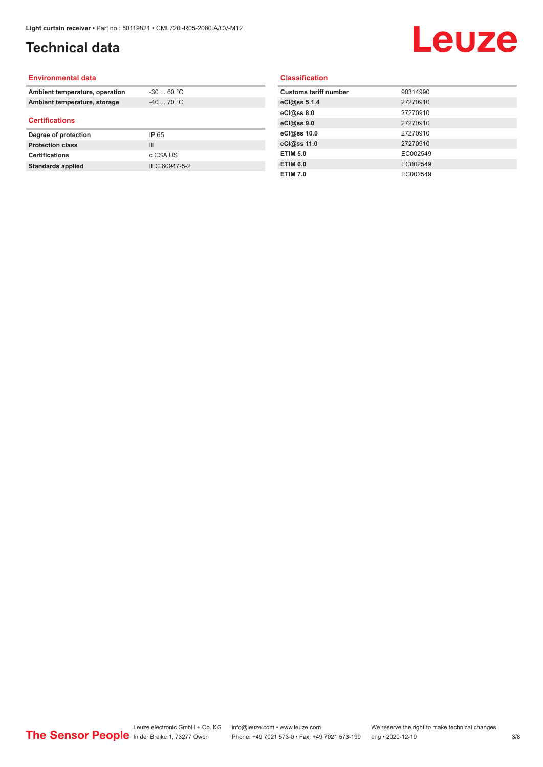## **Technical data**

# Leuze

#### **Environmental data**

| Ambient temperature, operation | $-30$ 60 °C |  |
|--------------------------------|-------------|--|
| Ambient temperature, storage   | $-40$ 70 °C |  |
| <b>Certifications</b>          |             |  |
|                                |             |  |
| Degree of protection           | IP 65       |  |
| <b>Protection class</b>        | Ш           |  |
| <b>Certifications</b>          | c CSA US    |  |

#### **Classification**

| <b>Customs tariff number</b> | 90314990 |
|------------------------------|----------|
| eCl@ss 5.1.4                 | 27270910 |
| eCl@ss 8.0                   | 27270910 |
| eCl@ss 9.0                   | 27270910 |
| eCl@ss 10.0                  | 27270910 |
| eCl@ss 11.0                  | 27270910 |
| <b>ETIM 5.0</b>              | EC002549 |
| <b>ETIM 6.0</b>              | EC002549 |
| <b>ETIM 7.0</b>              | EC002549 |
|                              |          |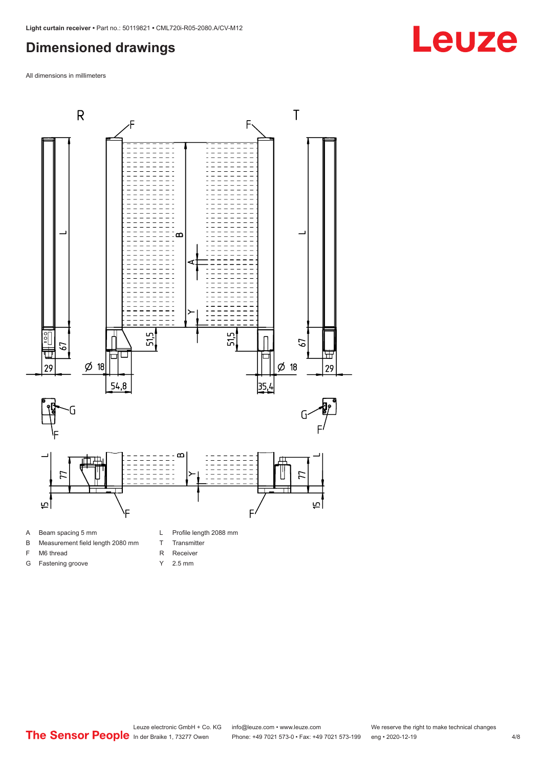## <span id="page-3-0"></span>**Dimensioned drawings**

All dimensions in millimeters



A Beam spacing 5 mm

G Fastening groove

- B Measurement field length 2080 mm
- F M6 thread
- R Receiver
	- Y 2.5 mm

T Transmitter

Leuze electronic GmbH + Co. KG info@leuze.com • www.leuze.com We reserve the right to make technical changes<br>
The Sensor People in der Braike 1, 73277 Owen Phone: +49 7021 573-0 • Fax: +49 7021 573-199 eng • 2020-12-19 Phone: +49 7021 573-0 • Fax: +49 7021 573-199 eng • 2020-12-19

# **Leuze**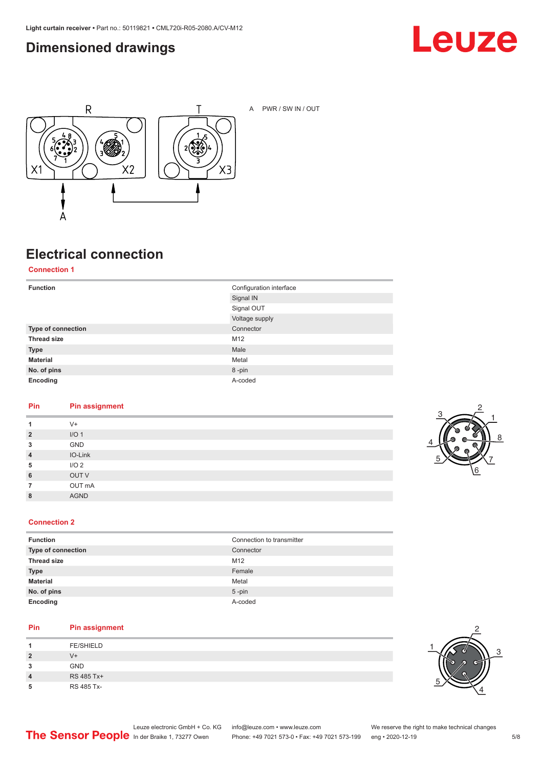### <span id="page-4-0"></span>**Dimensioned drawings**





A PWR / SW IN / OUT

## **Electrical connection**

**Connection 1**

| <b>Function</b>    | Configuration interface |
|--------------------|-------------------------|
|                    | Signal IN               |
|                    | Signal OUT              |
|                    | Voltage supply          |
| Type of connection | Connector               |
| <b>Thread size</b> | M12                     |
| <b>Type</b>        | Male                    |
| <b>Material</b>    | Metal                   |
| No. of pins        | 8-pin                   |
| Encoding           | A-coded                 |

#### **Pin Pin assignment**

| 1              | $V +$            |
|----------------|------------------|
| $\overline{2}$ | I/O <sub>1</sub> |
| 3              | GND              |
| $\overline{4}$ | IO-Link          |
| 5              | I/O <sub>2</sub> |
| 6              | OUT V            |
| 7              | OUT mA           |
| 8              | <b>AGND</b>      |
|                |                  |



#### **Connection 2**

| <b>Function</b>    | Connection to transmitter |
|--------------------|---------------------------|
| Type of connection | Connector                 |
| <b>Thread size</b> | M12                       |
| <b>Type</b>        | Female                    |
| <b>Material</b>    | Metal                     |
| No. of pins        | $5$ -pin                  |
| Encoding           | A-coded                   |

#### **Pin Pin assignment**

| л              | <b>FE/SHIELD</b> |
|----------------|------------------|
| $\overline{2}$ | V+               |
| 3              | <b>GND</b>       |
| 4              | RS 485 Tx+       |
| 5              | RS 485 Tx-       |

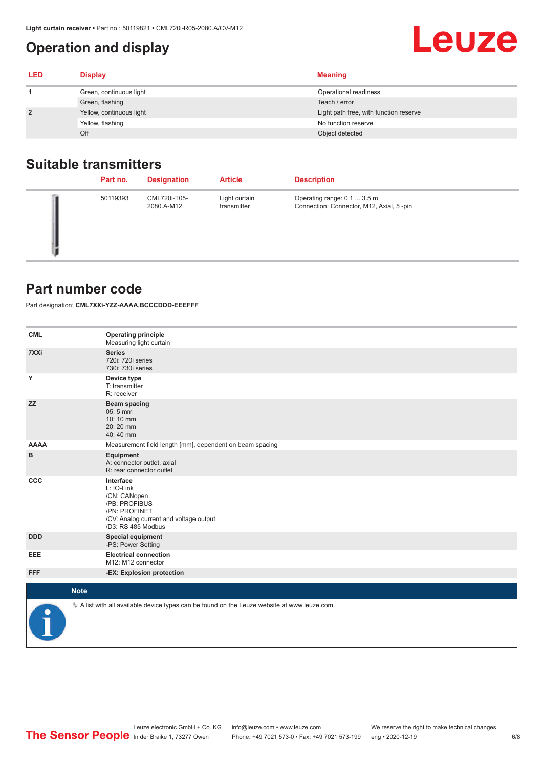## <span id="page-5-0"></span>**Operation and display**

| LED | <b>Display</b>           | <b>Meaning</b>                         |
|-----|--------------------------|----------------------------------------|
|     | Green, continuous light  | Operational readiness                  |
|     | Green, flashing          | Teach / error                          |
|     | Yellow, continuous light | Light path free, with function reserve |
|     | Yellow, flashing         | No function reserve                    |
|     | Off                      | Object detected                        |

#### **Suitable transmitters**

| Part no. | <b>Designation</b>         | <b>Article</b>               | <b>Description</b>                                                       |
|----------|----------------------------|------------------------------|--------------------------------------------------------------------------|
| 50119393 | CML720i-T05-<br>2080.A-M12 | Light curtain<br>transmitter | Operating range: 0.1  3.5 m<br>Connection: Connector, M12, Axial, 5 -pin |

#### **Part number code**

Part designation: **CML7XXi-YZZ-AAAA.BCCCDDD-EEEFFF**

| <b>CML</b>  | <b>Operating principle</b><br>Measuring light curtain                                                                                     |
|-------------|-------------------------------------------------------------------------------------------------------------------------------------------|
| 7XXi        | <b>Series</b><br>720i: 720i series<br>730i: 730i series                                                                                   |
| Y           | Device type<br>T: transmitter<br>R: receiver                                                                                              |
| <b>ZZ</b>   | <b>Beam spacing</b><br>05:5 mm<br>10:10 mm<br>20:20 mm<br>40:40 mm                                                                        |
| <b>AAAA</b> | Measurement field length [mm], dependent on beam spacing                                                                                  |
| в           | Equipment<br>A: connector outlet, axial<br>R: rear connector outlet                                                                       |
| CCC         | Interface<br>L: IO-Link<br>/CN: CANopen<br>/PB: PROFIBUS<br>/PN: PROFINET<br>/CV: Analog current and voltage output<br>/D3: RS 485 Modbus |
| <b>DDD</b>  | <b>Special equipment</b><br>-PS: Power Setting                                                                                            |
| EEE         | <b>Electrical connection</b><br>M12: M12 connector                                                                                        |
| <b>FFF</b>  | -EX: Explosion protection                                                                                                                 |
|             | <b>Note</b>                                                                                                                               |
| ₽           | $\&$ A list with all available device types can be found on the Leuze website at www.leuze.com.                                           |

Leuze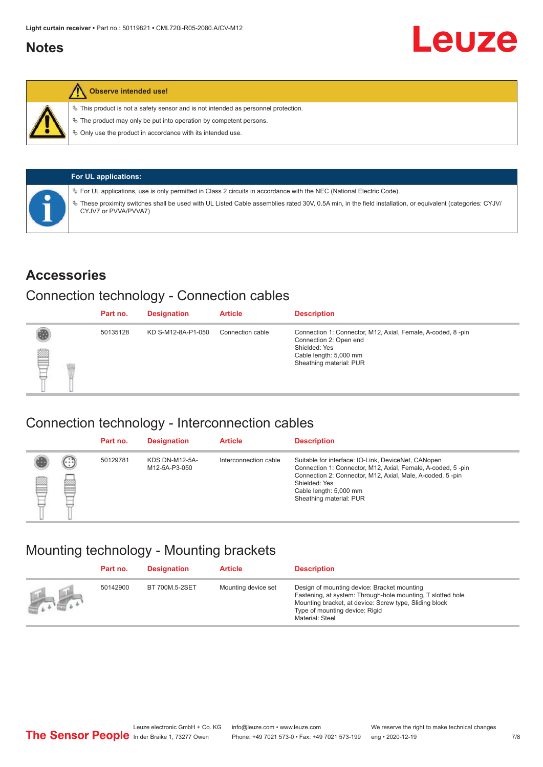#### <span id="page-6-0"></span>**Notes**



#### **Observe intended use!**

 $\%$  This product is not a safety sensor and is not intended as personnel protection.

 $\%$  The product may only be put into operation by competent persons.

 $\%$  Only use the product in accordance with its intended use.

| <b>For UL applications:</b>                                                                                                                                                       |
|-----------------------------------------------------------------------------------------------------------------------------------------------------------------------------------|
| $\%$ For UL applications, use is only permitted in Class 2 circuits in accordance with the NEC (National Electric Code).                                                          |
| V These proximity switches shall be used with UL Listed Cable assemblies rated 30V, 0.5A min, in the field installation, or equivalent (categories: CYJV/<br>CYJV7 or PVVA/PVVA7) |

#### **Accessories**

#### Connection technology - Connection cables

|   | Part no. | <b>Designation</b> | <b>Article</b>   | <b>Description</b>                                                                                                                                          |
|---|----------|--------------------|------------------|-------------------------------------------------------------------------------------------------------------------------------------------------------------|
| § | 50135128 | KD S-M12-8A-P1-050 | Connection cable | Connection 1: Connector, M12, Axial, Female, A-coded, 8-pin<br>Connection 2: Open end<br>Shielded: Yes<br>Cable length: 5,000 mm<br>Sheathing material: PUR |

#### Connection technology - Interconnection cables

|   |                   | Part no. | <b>Designation</b>                     | <b>Article</b>        | <b>Description</b>                                                                                                                                                                                                                                    |
|---|-------------------|----------|----------------------------------------|-----------------------|-------------------------------------------------------------------------------------------------------------------------------------------------------------------------------------------------------------------------------------------------------|
| e | $(\cdot$ : :<br>Þ | 50129781 | <b>KDS DN-M12-5A-</b><br>M12-5A-P3-050 | Interconnection cable | Suitable for interface: IO-Link, DeviceNet, CANopen<br>Connection 1: Connector, M12, Axial, Female, A-coded, 5-pin<br>Connection 2: Connector, M12, Axial, Male, A-coded, 5-pin<br>Shielded: Yes<br>Cable length: 5,000 mm<br>Sheathing material: PUR |

#### Mounting technology - Mounting brackets

|                                               | Part no. | <b>Designation</b> | <b>Article</b>      | <b>Description</b>                                                                                                                                                                                                        |
|-----------------------------------------------|----------|--------------------|---------------------|---------------------------------------------------------------------------------------------------------------------------------------------------------------------------------------------------------------------------|
| $\frac{1}{2}$ , $\frac{1}{2}$ , $\frac{1}{2}$ | 50142900 | BT 700M.5-2SET     | Mounting device set | Design of mounting device: Bracket mounting<br>Fastening, at system: Through-hole mounting, T slotted hole<br>Mounting bracket, at device: Screw type, Sliding block<br>Type of mounting device: Rigid<br>Material: Steel |

Leuze